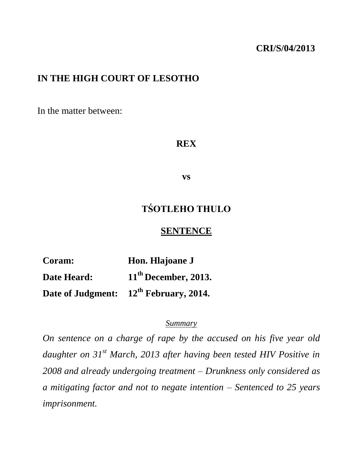#### **CRI/S/04/2013**

#### **IN THE HIGH COURT OF LESOTHO**

In the matter between:

#### **REX**

**vs**

# **TŚOTLEHO THULO**

#### **SENTENCE**

**Coram: Hon. Hlajoane J Date Heard: 11th December, 2013. Date of Judgment: 12th February, 2014.**

#### *Summary*

*On sentence on a charge of rape by the accused on his five year old daughter on 31st March, 2013 after having been tested HIV Positive in 2008 and already undergoing treatment – Drunkness only considered as a mitigating factor and not to negate intention – Sentenced to 25 years imprisonment.*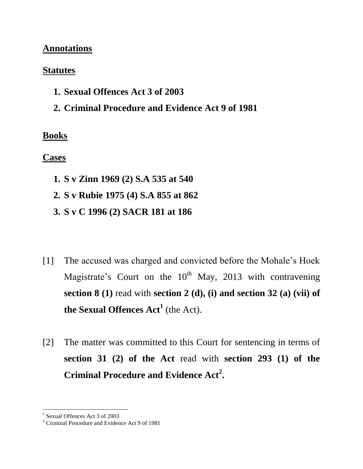#### **Annotations**

#### **Statutes**

- **1. Sexual Offences Act 3 of 2003**
- **2. Criminal Procedure and Evidence Act 9 of 1981**

## **Books**

## **Cases**

- **1. S v Zinn 1969 (2) S.A 535 at 540**
- **2. S v Rubie 1975 (4) S.A 855 at 862**
- **3. S v C 1996 (2) SACR 181 at 186**
- [1] The accused was charged and convicted before the Mohale's Hoek Magistrate's Court on the  $10^{th}$  May, 2013 with contravening **section 8 (1)** read with **section 2 (d), (i) and section 32 (a) (vii) of the Sexual Offences Act<sup>1</sup>** (the Act).
- [2] The matter was committed to this Court for sentencing in terms of **section 31 (2) of the Act** read with **section 293 (1) of the Criminal Procedure and Evidence Act<sup>2</sup> .**

 1 Sexual Offences Act 3 of 2003

<sup>&</sup>lt;sup>2</sup> Criminal Procedure and Evidence Act 9 of 1981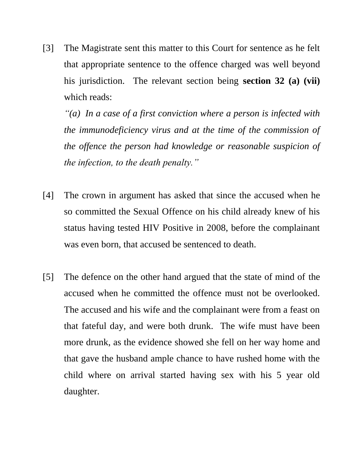[3] The Magistrate sent this matter to this Court for sentence as he felt that appropriate sentence to the offence charged was well beyond his jurisdiction. The relevant section being **section 32 (a) (vii)** which reads:

*"(a) In a case of a first conviction where a person is infected with the immunodeficiency virus and at the time of the commission of the offence the person had knowledge or reasonable suspicion of the infection, to the death penalty."*

- [4] The crown in argument has asked that since the accused when he so committed the Sexual Offence on his child already knew of his status having tested HIV Positive in 2008, before the complainant was even born, that accused be sentenced to death.
- [5] The defence on the other hand argued that the state of mind of the accused when he committed the offence must not be overlooked. The accused and his wife and the complainant were from a feast on that fateful day, and were both drunk. The wife must have been more drunk, as the evidence showed she fell on her way home and that gave the husband ample chance to have rushed home with the child where on arrival started having sex with his 5 year old daughter.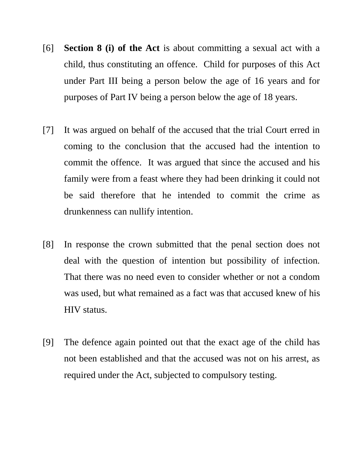- [6] **Section 8 (i) of the Act** is about committing a sexual act with a child, thus constituting an offence. Child for purposes of this Act under Part III being a person below the age of 16 years and for purposes of Part IV being a person below the age of 18 years.
- [7] It was argued on behalf of the accused that the trial Court erred in coming to the conclusion that the accused had the intention to commit the offence. It was argued that since the accused and his family were from a feast where they had been drinking it could not be said therefore that he intended to commit the crime as drunkenness can nullify intention.
- [8] In response the crown submitted that the penal section does not deal with the question of intention but possibility of infection. That there was no need even to consider whether or not a condom was used, but what remained as a fact was that accused knew of his HIV status.
- [9] The defence again pointed out that the exact age of the child has not been established and that the accused was not on his arrest, as required under the Act, subjected to compulsory testing.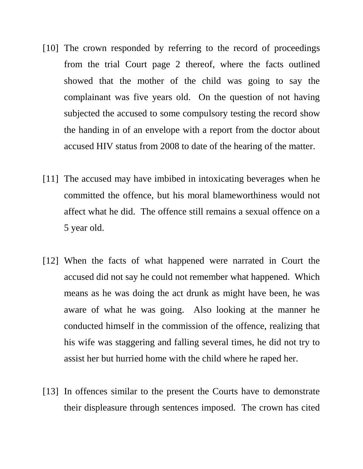- [10] The crown responded by referring to the record of proceedings from the trial Court page 2 thereof, where the facts outlined showed that the mother of the child was going to say the complainant was five years old. On the question of not having subjected the accused to some compulsory testing the record show the handing in of an envelope with a report from the doctor about accused HIV status from 2008 to date of the hearing of the matter.
- [11] The accused may have imbibed in intoxicating beverages when he committed the offence, but his moral blameworthiness would not affect what he did. The offence still remains a sexual offence on a 5 year old.
- [12] When the facts of what happened were narrated in Court the accused did not say he could not remember what happened. Which means as he was doing the act drunk as might have been, he was aware of what he was going. Also looking at the manner he conducted himself in the commission of the offence, realizing that his wife was staggering and falling several times, he did not try to assist her but hurried home with the child where he raped her.
- [13] In offences similar to the present the Courts have to demonstrate their displeasure through sentences imposed. The crown has cited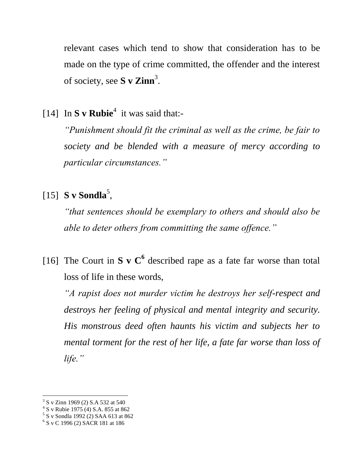relevant cases which tend to show that consideration has to be made on the type of crime committed, the offender and the interest of society, see **S** v Zinn<sup>3</sup>.

[14] In **S v** Rubie<sup>4</sup> it was said that:-

*"Punishment should fit the criminal as well as the crime, be fair to society and be blended with a measure of mercy according to particular circumstances."*

# [15] **S v Sondla** 5 ,

*"that sentences should be exemplary to others and should also be able to deter others from committing the same offence."*

[16] The Court in **S** v  $C^6$  described rape as a fate far worse than total loss of life in these words,

*"A rapist does not murder victim he destroys her self-respect and destroys her feeling of physical and mental integrity and security. His monstrous deed often haunts his victim and subjects her to mental torment for the rest of her life, a fate far worse than loss of life."*

 3 S v Zinn 1969 (2) S.A 532 at 540 4 S v Rubie 1975 (4) S.A. 855 at 862 5 S v Sondla 1992 (2) SAA 613 at 862

<sup>6</sup> S v C 1996 (2) SACR 181 at 186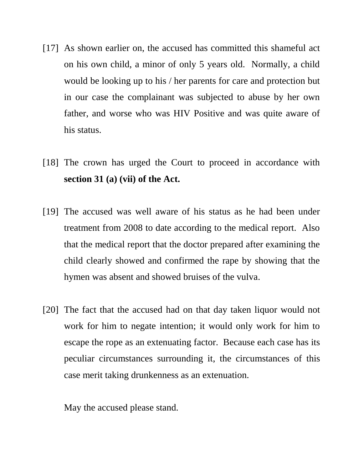- [17] As shown earlier on, the accused has committed this shameful act on his own child, a minor of only 5 years old. Normally, a child would be looking up to his / her parents for care and protection but in our case the complainant was subjected to abuse by her own father, and worse who was HIV Positive and was quite aware of his status.
- [18] The crown has urged the Court to proceed in accordance with **section 31 (a) (vii) of the Act.**
- [19] The accused was well aware of his status as he had been under treatment from 2008 to date according to the medical report. Also that the medical report that the doctor prepared after examining the child clearly showed and confirmed the rape by showing that the hymen was absent and showed bruises of the vulva.
- [20] The fact that the accused had on that day taken liquor would not work for him to negate intention; it would only work for him to escape the rope as an extenuating factor. Because each case has its peculiar circumstances surrounding it, the circumstances of this case merit taking drunkenness as an extenuation.

May the accused please stand.